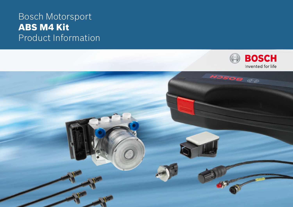# Bosch Motorsport ABS M4 Kit Product Information



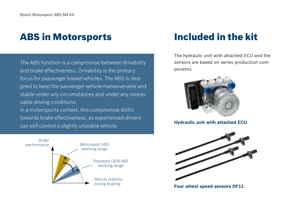# ABS in Motorsports Included in the kit

The ABS function is a compromise between drivability and brake effectiveness. Drivability is the primary focus for passenger based vehicles. The ABS is designed to keep the passenger vehicle maneuverable and stable under any circumstances and under any conceivable driving conditions.

In a motorsports context, this compromise shifts towards brake effectiveness, as experienced drivers can still control a slightly unstable vehicle. **Hydraulic unit with attached ECU**



The hydraulic unit with attached ECU and the sensors are based on series production components.





**Four wheel speed sensors DF11**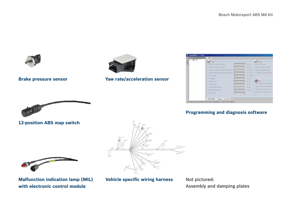



#### **Brake pressure sensor**

**Yaw rate/acceleration sensor**

| Đ<br>$-146.45$<br>Australy. | <b>ABS</b>                                    |                |                                                 |  |
|-----------------------------|-----------------------------------------------|----------------|-------------------------------------------------|--|
|                             | <b>BAPOMAN</b>                                |                | Sustain                                         |  |
|                             | Weak proprietational or any                   | 其地             | LBD's Vide Smiths                               |  |
|                             | <b>Mean commissions</b> are with              | <b>10.10</b>   | Keinelline, villes Realnie, in                  |  |
|                             | Native of incremental dispose wheel that pass | $DE = 101$     | Carack Hutmabile product                        |  |
|                             | luche it commeti froze shealing als           | 125.1923       | Yayılları (ICC Sanso Part II)                   |  |
|                             | <b>Vehicle sales</b>                          | $TE - TDO (T)$ |                                                 |  |
|                             | <b>Windows</b>                                | <b>ID. 101</b> |                                                 |  |
|                             | Towns Houst auto-                             | 22.30          | <b>Gradien</b>                                  |  |
|                             | Transport and a                               | 近頃             | Sand can acceler report in ad Lan Street stand. |  |
|                             | <b>Share warner hire way</b>                  | 10.545         | Definerations with the sale                     |  |
|                             | These saids war ads                           | ■ 18           | Transportered colour from ads-                  |  |
|                             | <b>Colora Ministra</b>                        | œ              | Danitationment indicatement sale.               |  |

## **Programming and diagnosis software**



**12-position ABS map switch**





**Malfunction indication lamp (MIL) with electronic control module**

## **Vehicle specific wiring harness**

Not pictured: Assembly and damping plates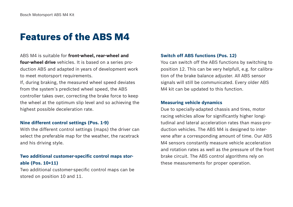# Features of the ABS M4

ABS M4 is suitable for **front-wheel, rear-wheel and four-wheel drive** vehicles. It is based on a series production ABS and adapted in years of development work to meet motorsport requirements.

If, during braking, the measured wheel speed deviates from the system's predicted wheel speed, the ABS controller takes over, correcting the brake force to keep the wheel at the optimum slip level and so achieving the highest possible deceleration rate.

#### **Nine different control settings (Pos. 1-9)**

With the different control settings (maps) the driver can select the preferable map for the weather, the racetrack and his driving style.

# **Two additional customer-specific control maps storable (Pos. 10+11)**

Two additional customer-specific control maps can be stored on position 10 and 11.

## **Switch off ABS functions (Pos. 12)**

You can switch off the ABS functions by switching to position 12. This can be very helpfull, e.g. for calibration of the brake balance adjuster. All ABS sensor signals will still be communicated. Every older ABS M4 kit can be updated to this function.

#### **Measuring vehicle dynamics**

Due to specially-adapted chassis and tires, motor racing vehicles allow for significantly higher longitudinal and lateral acceleration rates than mass-production vehicles. The ABS M4 is designed to intervene after a corresponding amount of time. Our ABS M4 sensors constantly measure vehicle acceleration and rotation rates as well as the pressure of the front brake circuit. The ABS control algorithms rely on these measurements for proper operation.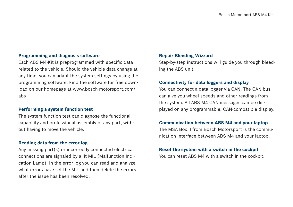#### **Programming and diagnosis software**

Each ABS M4-Kit is preprogrammed with specific data related to the vehicle. Should the vehicle data change at any time, you can adapt the system settings by using the programming software. Find the software for free download on our homepage at www.bosch-motorsport.com/ abs

#### **Performing a system function test**

The system function test can diagnose the functional capability and professional assembly of any part, without having to move the vehicle.

#### **Reading data from the error log**

Any missing part(s) or incorrectly connected electrical connections are signaled by a lit MIL (Malfunction Indication Lamp). In the error log you can read and analyze what errors have set the MIL and then delete the errors after the issue has been resolved.

#### **Repair Bleeding Wizzard**

Step-by-step instructions will guide you through bleeding the ABS unit.

#### **Connectivity for data loggers and display**

You can connect a data logger via CAN. The CAN bus can give you wheel speeds and other readings from the system. All ABS M4 CAN messages can be displayed on any programmable, CAN-compatible display.

#### **Communication between ABS M4 and your laptop**

The MSA Box II from Bosch Motorsport is the communication interface between ABS M4 and your laptop.

#### **Reset the system with a switch in the cockpit**

You can reset ABS M4 with a switch in the cockpit.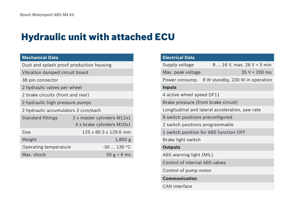# Hydraulic unit with attached ECU

# **Mechanical Data**

Dust and splash proof production housing

Vibration damped circuit board

- 38 pin connector
- 2 hydraulic valves per wheel
- 2 brake circuits (front and rear)
- 2 hydraulic high pressure pumps
- 2 hydraulic accumulators 3 ccm/each

| <b>Standard fittings</b> | 2 x master cylinders M12x1 |
|--------------------------|----------------------------|
|                          | 4 x brake cylinders M10x1  |
| Size                     | 125 x 80.3 x 129.6 mm      |
| Weight                   | $1,850$ g                  |
| Operating temperature    | $-30$ 130 °C               |
| Max. shock               | 50 g < 6 ms                |

| <b>Electrical Data</b>                 |                                                 |  |  |  |
|----------------------------------------|-------------------------------------------------|--|--|--|
| Supply voltage                         | 8  16 V, max. 26 V < 5 min                      |  |  |  |
| Max. peak voltage                      | $35 V < 200$ ms                                 |  |  |  |
| Power consump.                         | 8 W standby, 230 W in operation                 |  |  |  |
| <b>Inputs</b>                          |                                                 |  |  |  |
| 4 active wheel speed DF11              |                                                 |  |  |  |
| Brake pressure (front brake circuit)   |                                                 |  |  |  |
|                                        | Longitudinal and lateral acceleration, yaw rate |  |  |  |
| 9 switch positions preconfigured       |                                                 |  |  |  |
| 2 switch positions programmable        |                                                 |  |  |  |
| 1 switch position for ABS function OFF |                                                 |  |  |  |
| Brake light switch                     |                                                 |  |  |  |
| <b>Outputs</b>                         |                                                 |  |  |  |
| ABS warning light (MIL)                |                                                 |  |  |  |
| Control of internal ABS valves         |                                                 |  |  |  |
| Control of pump motor                  |                                                 |  |  |  |
| <b>Communication</b>                   |                                                 |  |  |  |
| <b>CAN</b> interface                   |                                                 |  |  |  |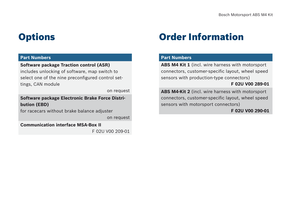### **Part Numbers**

### **Software package Traction control (ASR)**

includes unlocking of software, map switch to select one of the nine preconfigured control settings, CAN module

on request

**Software package Electronic Brake Force Distribution (EBD)**

for racecars without brake balance adjuster

on request

**Communication interface MSA-Box II**

F 02U V00 209-01

# Options Order Information

### **Part Numbers**

**ABS M4 Kit 1** (incl. wire harness with motorsport connectors, customer-specific layout, wheel speed sensors with production-type connectors)

### **F 02U V00 289-01**

**ABS M4-Kit 2** (incl. wire harness with motorsport connectors, customer-specific layout, wheel speed sensors with motorsport connectors)

**F 02U V00 290-01**